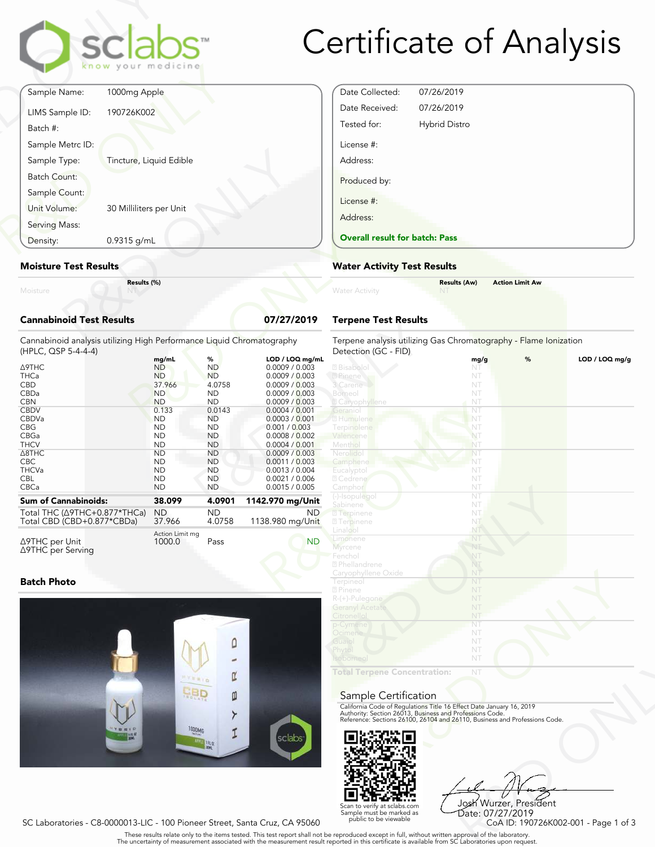

# Certificate of Analysis

| Moisture                      | Results (%)             |  |
|-------------------------------|-------------------------|--|
| <b>Moisture Test Results</b>  |                         |  |
| Density:                      | 0.9315 g/mL             |  |
| Serving Mass:                 |                         |  |
| Sample Count:<br>Unit Volume: | 30 Milliliters per Unit |  |
| Batch Count:                  |                         |  |
| Sample Type:                  | Tincture, Liquid Edible |  |
| Batch #:<br>Sample Metrc ID:  |                         |  |
| LIMS Sample ID:               | 190726K002              |  |
| Sample Name:                  | 1000mg Apple            |  |

#### Moisture Test Results

### Cannabinoid Test Results **07/27/2019**

| Density:                                                                                                                                                                     | $0.9315$ g/mL |                                                                                                                                                            |                                                                                                                                                         |                                                                                                                                                                                                                                        | <b>Overall result for batc</b>                                                                                                                                    |
|------------------------------------------------------------------------------------------------------------------------------------------------------------------------------|---------------|------------------------------------------------------------------------------------------------------------------------------------------------------------|---------------------------------------------------------------------------------------------------------------------------------------------------------|----------------------------------------------------------------------------------------------------------------------------------------------------------------------------------------------------------------------------------------|-------------------------------------------------------------------------------------------------------------------------------------------------------------------|
| <b>Moisture Test Results</b>                                                                                                                                                 |               |                                                                                                                                                            |                                                                                                                                                         |                                                                                                                                                                                                                                        | <b>Water Activity Test R</b>                                                                                                                                      |
| Moisture                                                                                                                                                                     | Results (%)   |                                                                                                                                                            |                                                                                                                                                         |                                                                                                                                                                                                                                        | <b>Water Activity</b>                                                                                                                                             |
| <b>Cannabinoid Test Results</b>                                                                                                                                              |               |                                                                                                                                                            |                                                                                                                                                         | 07/27/2019                                                                                                                                                                                                                             | <b>Terpene Test Results</b>                                                                                                                                       |
| Cannabinoid analysis utilizing High Performance Liquid Chromatography<br>(HPLC, QSP 5-4-4-4)                                                                                 |               |                                                                                                                                                            |                                                                                                                                                         |                                                                                                                                                                                                                                        | Terpene analysis utilizing<br>Detection (GC - FID)                                                                                                                |
| <b>A9THC</b><br><b>THCa</b><br><b>CBD</b><br>CBDa<br><b>CBN</b><br><b>CBDV</b><br><b>CBDVa</b><br><b>CBG</b><br><b>CBGa</b><br><b>THCV</b><br>$\triangle$ 8THC<br><b>CBC</b> |               | mg/mL<br><b>ND</b><br><b>ND</b><br>37.966<br><b>ND</b><br><b>ND</b><br>0.133<br><b>ND</b><br><b>ND</b><br><b>ND</b><br><b>ND</b><br><b>ND</b><br><b>ND</b> | %<br><b>ND</b><br><b>ND</b><br>4.0758<br><b>ND</b><br><b>ND</b><br>0.0143<br><b>ND</b><br><b>ND</b><br><b>ND</b><br><b>ND</b><br><b>ND</b><br><b>ND</b> | LOD / LOQ mg/mL<br>0.0009 / 0.003<br>0.0009 / 0.003<br>0.0009 / 0.003<br>0.0009 / 0.003<br>0.0009 / 0.003<br>0.0004 / 0.001<br>0.0003 / 0.001<br>0.001 / 0.003<br>0.0008 / 0.002<br>0.0004 / 0.001<br>0.0009 / 0.003<br>0.0011 / 0.003 | 2 Bisabolol<br>2 Pinene<br>3 Carene<br>Borneo<br><b>Z</b> Caryophyllene<br>Geraniol<br>2 Humulene<br>Terpinolene<br>Valencene<br>Menthol<br>Nerolidol<br>Camphene |
| <b>THCVa</b><br><b>CBL</b><br>CBCa                                                                                                                                           |               | <b>ND</b><br><b>ND</b><br><b>ND</b>                                                                                                                        | <b>ND</b><br><b>ND</b><br><b>ND</b>                                                                                                                     | 0.0013 / 0.004<br>0.0021 / 0.006<br>0.0015 / 0.005                                                                                                                                                                                     | Eucalyptol<br>2 Cedrene<br>Camphor                                                                                                                                |
| <b>Sum of Cannabinoids:</b>                                                                                                                                                  |               | 38.099                                                                                                                                                     | 4.0901                                                                                                                                                  | 1142.970 mg/Unit                                                                                                                                                                                                                       | (-)-Isopulegol<br>Sabinene                                                                                                                                        |
| Total THC ( $\triangle$ 9THC+0.877*THCa)<br>Total CBD (CBD+0.877*CBDa)                                                                                                       |               | <b>ND</b><br>37.966                                                                                                                                        | <b>ND</b><br>4.0758                                                                                                                                     | ND.<br>1138.980 mg/Unit                                                                                                                                                                                                                | <b>7</b> Terpinene<br><b>27</b> Terpinene                                                                                                                         |
| $\triangle$ 9THC per Unit<br>∆9THC per Serving                                                                                                                               |               | Action Limit mg<br>1000.0                                                                                                                                  | Pass                                                                                                                                                    | <b>ND</b>                                                                                                                                                                                                                              | Linalool<br>Limonene<br>Myrcene<br>Eanchal                                                                                                                        |

### Batch Photo



| Date Collected:                       | 07/26/2019           |  |
|---------------------------------------|----------------------|--|
| Date Received:                        | 07/26/2019           |  |
| Tested for:                           | <b>Hybrid Distro</b> |  |
| License #:<br>Address:                |                      |  |
| Produced by:<br>License #:            |                      |  |
| Address:                              |                      |  |
| <b>Overall result for batch: Pass</b> |                      |  |
|                                       |                      |  |

### Water Activity Test Results

| Water Activity | <b>Results (Aw)</b><br><b>NT</b> | <b>Action Limit Aw</b> |  |
|----------------|----------------------------------|------------------------|--|
|                |                                  |                        |  |

## Terpene Test Results

| atography       | Terpene analysis utilizing Gas Chromatography - Flame Ionization<br>Detection (GC - FID)                                               |      |   |                  |
|-----------------|----------------------------------------------------------------------------------------------------------------------------------------|------|---|------------------|
| LOD / LOQ mg/mL |                                                                                                                                        | mg/g | % | $LOD / LOQ$ mg/g |
| 0.0009 / 0.003  | 2 Bisabolol                                                                                                                            | NT   |   |                  |
| 0.0009 / 0.003  | 2 Pinene                                                                                                                               | NT   |   |                  |
| 0.0009 / 0.003  | 3 Carene                                                                                                                               | NT   |   |                  |
| 0.0009 / 0.003  | Borneol                                                                                                                                | NT   |   |                  |
| 0.0009 / 0.003  | <b>Z</b> Caryophyllene                                                                                                                 | NT   |   |                  |
| 0.0004 / 0.001  | Geranio                                                                                                                                | NT   |   |                  |
| 0.0003 / 0.001  | 2 Humulene                                                                                                                             | NT   |   |                  |
| 0.001 / 0.003   | Terpinolene                                                                                                                            | NT   |   |                  |
| 0.0008 / 0.002  | Valencene                                                                                                                              | NT   |   |                  |
| 0.0004 / 0.001  | Menthol                                                                                                                                | NT   |   |                  |
| 0.0009 / 0.003  | Nerolido                                                                                                                               | NT   |   |                  |
| 0.0011 / 0.003  | Camphene                                                                                                                               | NT   |   |                  |
| 0.0013 / 0.004  | Eucalyptol                                                                                                                             | NT   |   |                  |
| 0.0021 / 0.006  | 2 Cedrene                                                                                                                              | NT   |   |                  |
| 0.0015 / 0.005  | Camphor                                                                                                                                | NT   |   |                  |
|                 | (-)-Isopulegol                                                                                                                         | NT   |   |                  |
| 12.970 mg/Unit  | Sabinene                                                                                                                               | NT   |   |                  |
| ND.             | <sup>2</sup> Terpinene                                                                                                                 | NT   |   |                  |
| 38.980 mg/Unit  | <b>27 Terpinene</b>                                                                                                                    | NT   |   |                  |
|                 | Linalool                                                                                                                               | NT.  |   |                  |
| <b>ND</b>       | Limonene                                                                                                                               | NT   |   |                  |
|                 | Myrcene                                                                                                                                | NT   |   |                  |
|                 | Fenchol                                                                                                                                | NT   |   |                  |
|                 | 2 Phellandrene                                                                                                                         | NT   |   |                  |
|                 | Caryophyllene Oxide                                                                                                                    | NT   |   |                  |
|                 | Terpineol                                                                                                                              | NT   |   |                  |
|                 | 2 Pinene                                                                                                                               | NT   |   |                  |
|                 | R-(+)-Pulegone                                                                                                                         | NT   |   |                  |
|                 | <b>Geranyl Acetate</b>                                                                                                                 | NT   |   |                  |
|                 | Citronellol                                                                                                                            | NT   |   |                  |
|                 | p-Cymene                                                                                                                               | NT   |   |                  |
|                 | Ocimene                                                                                                                                | NT   |   |                  |
|                 | Guaiol                                                                                                                                 | NT   |   |                  |
|                 | Phytol                                                                                                                                 | NT   |   |                  |
|                 | soborneo.                                                                                                                              | NT   |   |                  |
|                 |                                                                                                                                        |      |   |                  |
|                 | <b>Total Terpene Concentration:</b>                                                                                                    | NT   |   |                  |
|                 |                                                                                                                                        |      |   |                  |
|                 | Sample Certification                                                                                                                   |      |   |                  |
|                 |                                                                                                                                        |      |   |                  |
|                 | California Code of Regulations Title 16 Effect Date January 16, 2019                                                                   |      |   |                  |
|                 | Authority: Section 26013, Business and Professions Code.<br>Reference: Sections 26100, 26104 and 26110, Business and Professions Code. |      |   |                  |
|                 |                                                                                                                                        |      |   |                  |
| sclabs          |                                                                                                                                        |      |   |                  |
|                 |                                                                                                                                        |      |   |                  |
|                 |                                                                                                                                        |      |   |                  |

#### Sample Certification



NT<br>
NT<br>
Fect Date January 16, 2019<br>
rofessions Code.<br>
9110, Business and Professions Code.<br>
910, Business and Professions Code.<br>
92<br>
Josh Wurzer, President<br>
CoA ID: 190726K002-001 - Page 1 of 3<br>
pproval of the laboratories Josh Wurzer, President Date: 07/27/2019

SC Laboratories - C8-0000013-LIC - 100 Pioneer Street, Santa Cruz, CA 95060

Scan to verify at sclabs.com Sample must be marked as public to be viewable

. These results relate only to the items tested. This test report shall not be reproduced except in full, without written approval of the laboratory.<br>The uncertainty of measurement associated with the measurement result re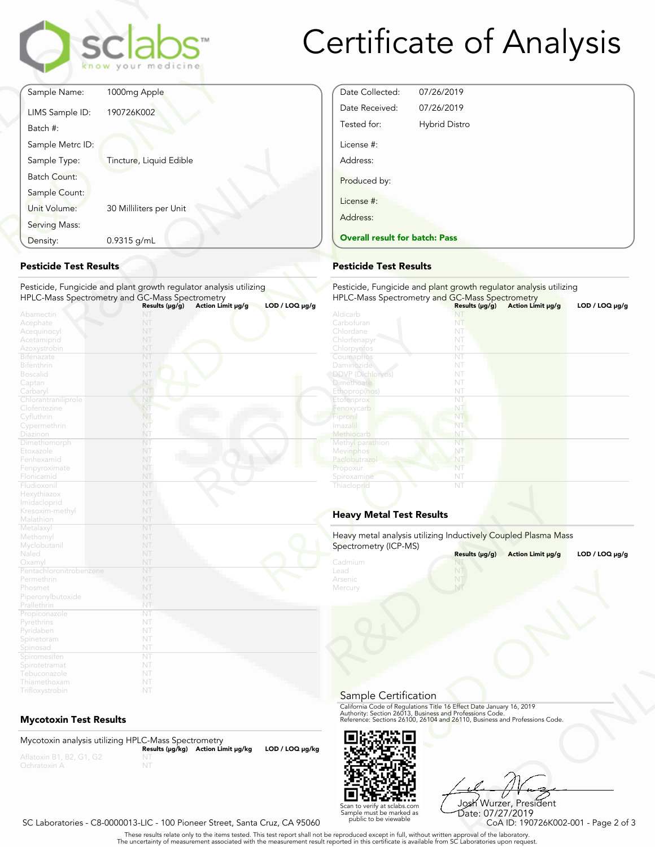

# Certificate of Analysis

Date Collected: 07/26/2019 Date Received: 07/26/2019 Tested for: Hybrid Distro

License #: Address:

Produced by:

License #: Address:

|                                            | sclabs<br>know your medicine                                                                                                                                                        |
|--------------------------------------------|-------------------------------------------------------------------------------------------------------------------------------------------------------------------------------------|
| Sample Name:                               | 1000mg Apple                                                                                                                                                                        |
| LIMS Sample ID:<br>Batch #:                | 190726K002                                                                                                                                                                          |
| Sample Metrc ID:                           |                                                                                                                                                                                     |
| Sample Type:                               | Tincture, Liquid Edible                                                                                                                                                             |
| <b>Batch Count:</b><br>Sample Count:       |                                                                                                                                                                                     |
| Unit Volume:                               | 30 Milliliters per Unit                                                                                                                                                             |
| Serving Mass:                              |                                                                                                                                                                                     |
| Density:                                   | 0.9315 g/mL                                                                                                                                                                         |
| <b>Pesticide Test Results</b><br>Abamectin | Pesticide, Fungicide and plant growth regulator analysis utilizing<br>HPLC-Mass Spectrometry and GC-Mass Spectrometry<br>Action Limit µg/g<br>$LOD / LOQ \mu g/g$<br>Results (µg/g) |
| Acephate<br>Acequinocyl                    | NП<br>NT                                                                                                                                                                            |
|                                            |                                                                                                                                                                                     |

## Pesticide Test Results

| Density:                                                                                                                                                                               | 0.9315 g/mL                                                                                                                                                                              | <b>Overall result for batch: Pass</b>                                                                                                                                                 |                                                                      |  |
|----------------------------------------------------------------------------------------------------------------------------------------------------------------------------------------|------------------------------------------------------------------------------------------------------------------------------------------------------------------------------------------|---------------------------------------------------------------------------------------------------------------------------------------------------------------------------------------|----------------------------------------------------------------------|--|
| <b>Pesticide Test Results</b>                                                                                                                                                          |                                                                                                                                                                                          | <b>Pesticide Test Results</b>                                                                                                                                                         |                                                                      |  |
|                                                                                                                                                                                        | Pesticide, Fungicide and plant growth regulator analysis utilizing<br>HPLC-Mass Spectrometry and GC-Mass Spectrometry<br>$LOD / LOQ \mu g/g$<br>Action Limit µg/g<br>Results $(\mu g/g)$ | Pesticide, Fungicide and plant growth regu<br>HPLC-Mass Spectrometry and GC-Mass Sp                                                                                                   | Results (µg/g)                                                       |  |
| Abamectin<br>Acephate<br>Acequinocyl<br>Acetamiprid<br>Azoxystrobin<br><b>Bifenazate</b><br>Bifenthrin<br><b>Boscalid</b><br>Captan<br>Carbaryl<br>Chlorantraniliprole<br>Clofentezine | NT<br>NT<br>NT<br>NT<br>NT<br>NT<br>NT<br>NT<br>NT<br>NT<br>NT<br>NT                                                                                                                     | Aldicarb<br>Carbofuran<br>Chlordane<br>Chlorfenapyr<br>Chlorpyrifos<br>Coumaphos<br>Daminozide<br>DDVP (Dichlorvos)<br><b>Dimethoate</b><br>Ethoprop(hos)<br>Etofenprox<br>Fenoxycarb | NT<br>NT<br>NT<br>NT<br>NT<br>NT<br>NT<br>NT<br>NT<br>NT<br>NT<br>NT |  |
| Cyfluthrin<br>Cypermethrin<br>Diazinon<br>Dimethomorph<br>Etoxazole<br>Fenhexamid<br>Fenpyroximate<br>Flonicamid                                                                       | NT<br>NT<br>NT<br>NT<br>NT<br>NT<br>NT<br>NT                                                                                                                                             | Fipronil<br>Imazalil<br>Methiocarb<br>Methyl parathion<br>Mevinphos<br>Paclobutrazo<br>Propoxur<br>Spiroxamine                                                                        | NT<br>NT<br>NT<br>NT<br>NŤ<br>NT<br>NT<br>NT                         |  |
| Fludioxonil<br>Hexythiazox<br>Imidacloprid<br>Kresoxim-methyl<br>Malathion                                                                                                             | NT<br>NT<br>NT<br>NT<br>NT                                                                                                                                                               | Thiacloprid<br><b>Heavy Metal Test Results</b>                                                                                                                                        | NT                                                                   |  |
| Metalaxyl<br>Methomyl<br>Myclobutanil<br>Naled<br>Oxamyl<br>Pentachloronitrobenzene<br>Permethrin<br>Phosmet                                                                           | NT<br>NT<br>NT<br>NT<br>NT<br>NT<br>NT<br>NT                                                                                                                                             | Heavy metal analysis utilizing Inductively C<br>Spectrometry (ICP-MS)<br>Cadmium<br>Lead<br>Arsenic<br>Mercury                                                                        | Results (µg/g)<br>NI<br>NT<br>NT<br>NT                               |  |
| Piperonylbutoxide<br>Prallethrin<br>Propiconazole<br>Pyrethrins<br>Pyridaben<br>Spinetoram<br>Spinosad<br>Spiromesifen<br>Spirotetramat<br>Tebuconazole<br>Thiamethoxam                | NT<br>NT<br>NT<br>NT<br>NT<br>NT<br>NT<br>NT<br>NT<br>NT<br>NT                                                                                                                           |                                                                                                                                                                                       |                                                                      |  |
| Trifloxystrobin                                                                                                                                                                        | NT                                                                                                                                                                                       |                                                                                                                                                                                       |                                                                      |  |

## Mycotoxin Test Results

Mycotoxin analysis utilizing HPLC-Mass Spectrometry<br>Results (μg/kg) Action Limit μg/kg LOD / LOQ μg/kg



R&D ONLY Josh Wurzer, President Date: 07/27/2019

SC Laboratories - C8-0000013-LIC - 100 Pioneer Street, Santa Cruz, CA 95060

. These results relate only to the items tested. This test report shall not be reproduced except in full, without written approval of the laboratory.<br>The uncertainty of measurement associated with the measurement result re

Scan to verify at sclabs.com Sample must be marked as public to be viewable

Spiroxamij

## Heavy Metal Test Results

Pesticide, Fungicide and plant growth regulator analysis utilizing

HPLC-Mass Spectrometry and GC-Mass Spectrometry<br>Aldicarb **Community States (μg/g) Action Limit μg/g LOD / LOQ μg/g** 

| Spectrometry (ICP-MS) | Heavy metal analysis utilizing Inductively Coupled Plasma Mass                                                                                                                                                 |                     |
|-----------------------|----------------------------------------------------------------------------------------------------------------------------------------------------------------------------------------------------------------|---------------------|
|                       | Results (µg/g)<br>Action Limit µg/g                                                                                                                                                                            | $LOD / LOQ \mu g/g$ |
| Cadmium<br>Lead       | NT                                                                                                                                                                                                             |                     |
| Arsenic<br>Mercury    |                                                                                                                                                                                                                |                     |
|                       |                                                                                                                                                                                                                |                     |
| Sample Certification  |                                                                                                                                                                                                                |                     |
|                       | California Code of Regulations Title 16 Effect Date January 16, 2019<br>Authority: Section 26013, Business and Professions Code.<br>Reference: Sections 26100, 26104 and 26110, Business and Professions Code. |                     |
|                       |                                                                                                                                                                                                                |                     |